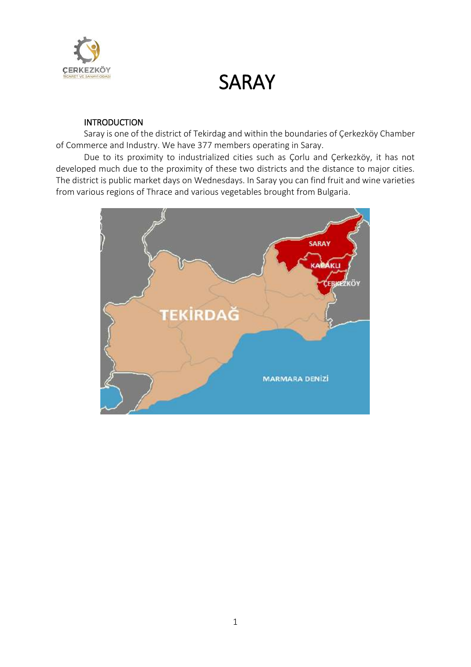

#### **INTRODUCTION**

Saray is one of the district of Tekirdag and within the boundaries of Çerkezköy Chamber of Commerce and Industry. We have 377 members operating in Saray.

Due to its proximity to industrialized cities such as Çorlu and Çerkezköy, it has not developed much due to the proximity of these two districts and the distance to major cities. The district is public market days on Wednesdays. In Saray you can find fruit and wine varieties from various regions of Thrace and various vegetables brought from Bulgaria.

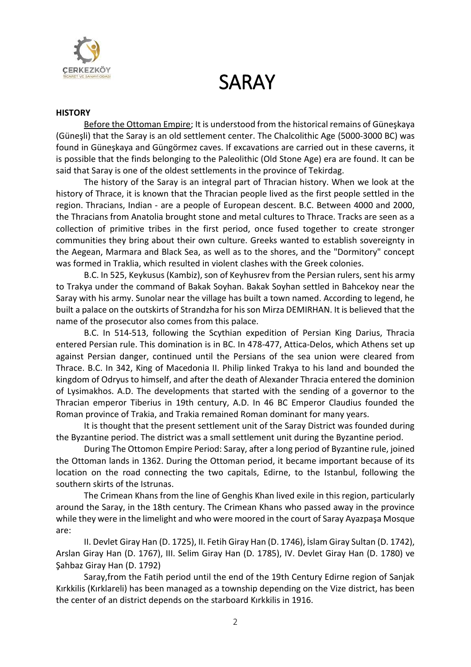

#### **HISTORY**

Before the Ottoman Empire; It is understood from the historical remains of Güneşkaya (Güneşli) that the Saray is an old settlement center. The Chalcolithic Age (5000-3000 BC) was found in Güneşkaya and Güngörmez caves. If excavations are carried out in these caverns, it is possible that the finds belonging to the Paleolithic (Old Stone Age) era are found. It can be said that Saray is one of the oldest settlements in the province of Tekirdag.

The history of the Saray is an integral part of Thracian history. When we look at the history of Thrace, it is known that the Thracian people lived as the first people settled in the region. Thracians, Indian - are a people of European descent. B.C. Between 4000 and 2000, the Thracians from Anatolia brought stone and metal cultures to Thrace. Tracks are seen as a collection of primitive tribes in the first period, once fused together to create stronger communities they bring about their own culture. Greeks wanted to establish sovereignty in the Aegean, Marmara and Black Sea, as well as to the shores, and the "Dormitory" concept was formed in Traklia, which resulted in violent clashes with the Greek colonies.

B.C. In 525, Keykusus (Kambiz), son of Keyhusrev from the Persian rulers, sent his army to Trakya under the command of Bakak Soyhan. Bakak Soyhan settled in Bahcekoy near the Saray with his army. Sunolar near the village has built a town named. According to legend, he built a palace on the outskirts of Strandzha for his son Mirza DEMIRHAN. It is believed that the name of the prosecutor also comes from this palace.

B.C. In 514-513, following the Scythian expedition of Persian King Darius, Thracia entered Persian rule. This domination is in BC. In 478-477, Attica-Delos, which Athens set up against Persian danger, continued until the Persians of the sea union were cleared from Thrace. B.C. In 342, King of Macedonia II. Philip linked Trakya to his land and bounded the kingdom of Odryus to himself, and after the death of Alexander Thracia entered the dominion of Lysimakhos. A.D. The developments that started with the sending of a governor to the Thracian emperor Tiberius in 19th century, A.D. In 46 BC Emperor Claudius founded the Roman province of Trakia, and Trakia remained Roman dominant for many years.

It is thought that the present settlement unit of the Saray District was founded during the Byzantine period. The district was a small settlement unit during the Byzantine period.

During The Ottomon Empire Period: Saray, after a long period of Byzantine rule, joined the Ottoman lands in 1362. During the Ottoman period, it became important because of its location on the road connecting the two capitals, Edirne, to the Istanbul, following the southern skirts of the Istrunas.

The Crimean Khans from the line of Genghis Khan lived exile in this region, particularly around the Saray, in the 18th century. The Crimean Khans who passed away in the province while they were in the limelight and who were moored in the court of Saray Ayazpaşa Mosque are:

II. Devlet Giray Han (D. 1725), II. Fetih Giray Han (D. 1746), İslam Giray Sultan (D. 1742), Arslan Giray Han (D. 1767), III. Selim Giray Han (D. 1785), IV. Devlet Giray Han (D. 1780) ve Şahbaz Giray Han (D. 1792)

Saray,from the Fatih period until the end of the 19th Century Edirne region of Sanjak Kırkkilis (Kırklareli) has been managed as a township depending on the Vize district, has been the center of an district depends on the starboard Kırkkilis in 1916.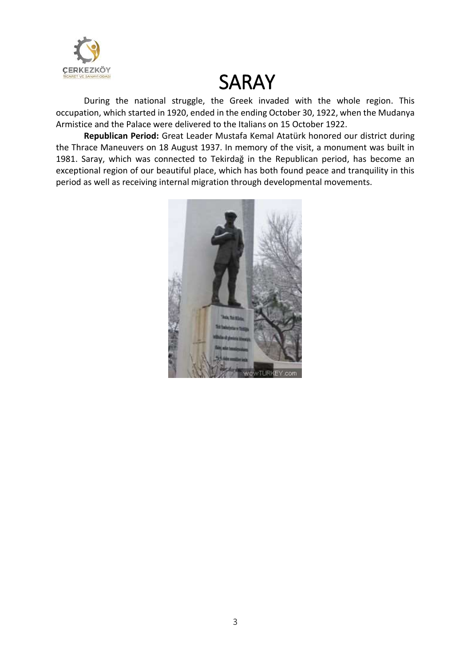

During the national struggle, the Greek invaded with the whole region. This occupation, which started in 1920, ended in the ending October 30, 1922, when the Mudanya Armistice and the Palace were delivered to the Italians on 15 October 1922.

**Republican Period:** Great Leader Mustafa Kemal Atatürk honored our district during the Thrace Maneuvers on 18 August 1937. In memory of the visit, a monument was built in 1981. Saray, which was connected to Tekirdağ in the Republican period, has become an exceptional region of our beautiful place, which has both found peace and tranquility in this period as well as receiving internal migration through developmental movements.

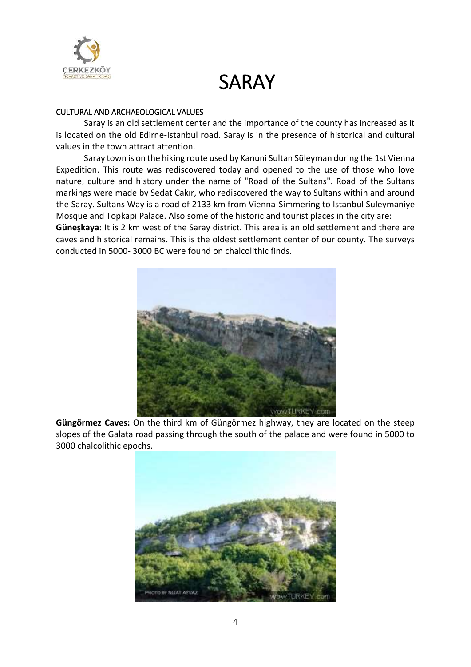

#### CULTURAL AND ARCHAEOLOGICAL VALUES

Saray is an old settlement center and the importance of the county has increased as it is located on the old Edirne-Istanbul road. Saray is in the presence of historical and cultural values in the town attract attention.

Saray town is on the hiking route used by Kanuni Sultan Süleyman during the 1st Vienna Expedition. This route was rediscovered today and opened to the use of those who love nature, culture and history under the name of "Road of the Sultans". Road of the Sultans markings were made by Sedat Çakır, who rediscovered the way to Sultans within and around the Saray. Sultans Way is a road of 2133 km from Vienna-Simmering to Istanbul Suleymaniye Mosque and Topkapi Palace. Also some of the historic and tourist places in the city are:

**Güneşkaya:** It is 2 km west of the Saray district. This area is an old settlement and there are caves and historical remains. This is the oldest settlement center of our county. The surveys conducted in 5000- 3000 BC were found on chalcolithic finds.



**Güngörmez Caves:** On the third km of Güngörmez highway, they are located on the steep slopes of the Galata road passing through the south of the palace and were found in 5000 to 3000 chalcolithic epochs.

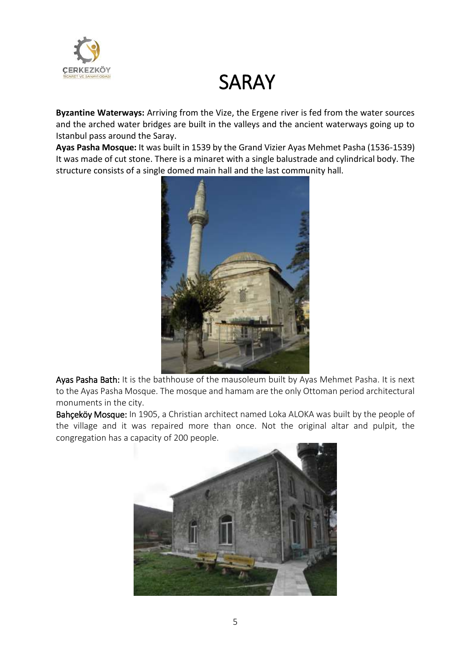

**Byzantine Waterways:** Arriving from the Vize, the Ergene river is fed from the water sources and the arched water bridges are built in the valleys and the ancient waterways going up to Istanbul pass around the Saray.

**Ayas Pasha Mosque:** It was built in 1539 by the Grand Vizier Ayas Mehmet Pasha (1536-1539) It was made of cut stone. There is a minaret with a single balustrade and cylindrical body. The structure consists of a single domed main hall and the last community hall.



Ayas Pasha Bath: It is the bathhouse of the mausoleum built by Ayas Mehmet Pasha. It is next to the Ayas Pasha Mosque. The mosque and hamam are the only Ottoman period architectural monuments in the city.

Bahçeköy Mosque: In 1905, a Christian architect named Loka ALOKA was built by the people of the village and it was repaired more than once. Not the original altar and pulpit, the congregation has a capacity of 200 people.

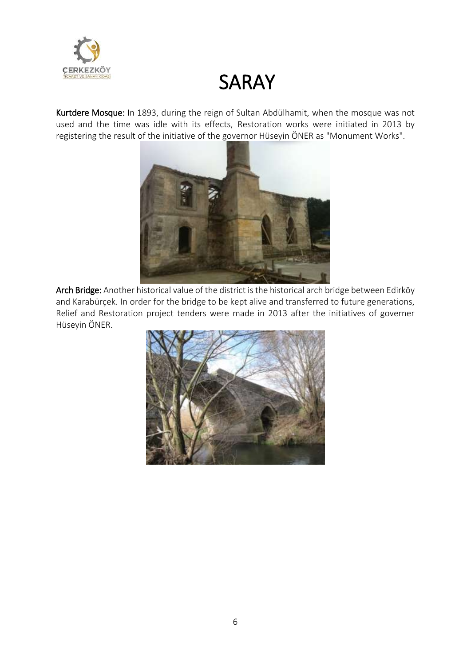

Kurtdere Mosque: In 1893, during the reign of Sultan Abdülhamit, when the mosque was not used and the time was idle with its effects, Restoration works were initiated in 2013 by registering the result of the initiative of the governor Hüseyin ÖNER as "Monument Works".



Arch Bridge: Another historical value of the district is the historical arch bridge between Edirköy and Karabürçek. In order for the bridge to be kept alive and transferred to future generations, Relief and Restoration project tenders were made in 2013 after the initiatives of governer Hüseyin ÖNER.

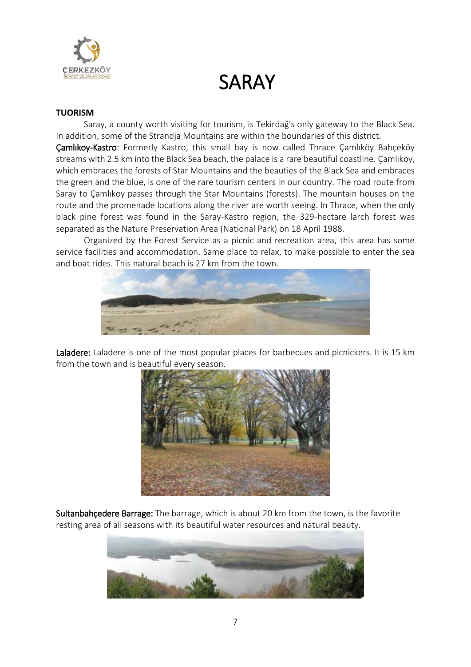

#### **TUORISM**

Saray, a county worth visiting for tourism, is Tekirdağ's only gateway to the Black Sea. In addition, some of the Strandja Mountains are within the boundaries of this district.

Çamlıkoy-Kastro: Formerly Kastro, this small bay is now called Thrace Çamlıköy Bahçeköy streams with 2.5 km into the Black Sea beach, the palace is a rare beautiful coastline. Çamlıkoy, which embraces the forests of Star Mountains and the beauties of the Black Sea and embraces the green and the blue, is one of the rare tourism centers in our country. The road route from Saray to Çamlıkoy passes through the Star Mountains (forests). The mountain houses on the route and the promenade locations along the river are worth seeing. In Thrace, when the only black pine forest was found in the Saray-Kastro region, the 329-hectare larch forest was separated as the Nature Preservation Area (National Park) on 18 April 1988.

Organized by the Forest Service as a picnic and recreation area, this area has some service facilities and accommodation. Same place to relax, to make possible to enter the sea and boat rides. This natural beach is 27 km from the town.



Laladere: Laladere is one of the most popular places for barbecues and picnickers. It is 15 km from the town and is beautiful every season.



Sultanbahçedere Barrage: The barrage, which is about 20 km from the town, is the favorite resting area of all seasons with its beautiful water resources and natural beauty.

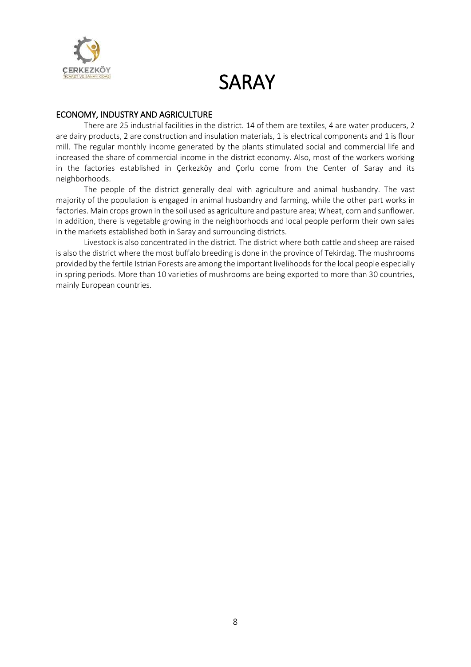

#### ECONOMY, INDUSTRY AND AGRICULTURE

There are 25 industrial facilities in the district. 14 of them are textiles, 4 are water producers, 2 are dairy products, 2 are construction and insulation materials, 1 is electrical components and 1 is flour mill. The regular monthly income generated by the plants stimulated social and commercial life and increased the share of commercial income in the district economy. Also, most of the workers working in the factories established in Çerkezköy and Çorlu come from the Center of Saray and its neighborhoods.

The people of the district generally deal with agriculture and animal husbandry. The vast majority of the population is engaged in animal husbandry and farming, while the other part works in factories. Main crops grown in the soil used as agriculture and pasture area; Wheat, corn and sunflower. In addition, there is vegetable growing in the neighborhoods and local people perform their own sales in the markets established both in Saray and surrounding districts.

Livestock is also concentrated in the district. The district where both cattle and sheep are raised is also the district where the most buffalo breeding is done in the province of Tekirdag. The mushrooms provided by the fertile Istrian Forests are among the important livelihoods for the local people especially in spring periods. More than 10 varieties of mushrooms are being exported to more than 30 countries, mainly European countries.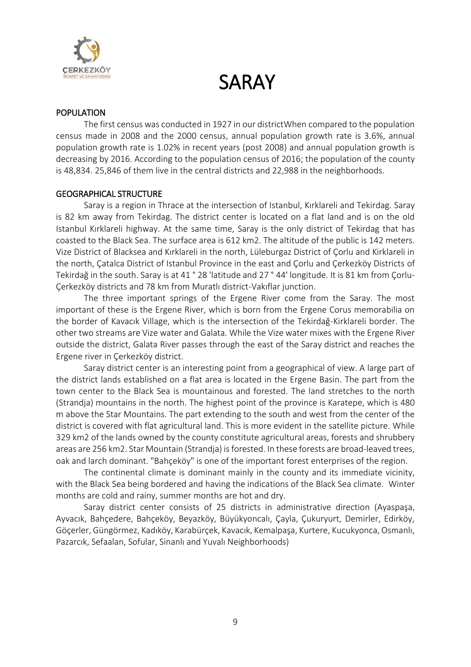

#### POPULATION

The first census was conducted in 1927 in our districtWhen compared to the population census made in 2008 and the 2000 census, annual population growth rate is 3.6%, annual population growth rate is 1.02% in recent years (post 2008) and annual population growth is decreasing by 2016. According to the population census of 2016; the population of the county is 48,834. 25,846 of them live in the central districts and 22,988 in the neighborhoods.

#### GEOGRAPHICAL STRUCTURE

Saray is a region in Thrace at the intersection of Istanbul, Kırklareli and Tekirdag. Saray is 82 km away from Tekirdag. The district center is located on a flat land and is on the old Istanbul Kırklareli highway. At the same time, Saray is the only district of Tekirdag that has coasted to the Black Sea. The surface area is 612 km2. The altitude of the public is 142 meters. Vize District of Blacksea and Kırklareli in the north, Lüleburgaz District of Çorlu and Kirklareli in the north, Çatalca District of Istanbul Province in the east and Çorlu and Çerkezköy Districts of Tekirdağ in the south. Saray is at 41 ° 28 'latitude and 27 ° 44' longitude. It is 81 km from Çorlu-Çerkezköy districts and 78 km from Muratlı district-Vakıflar junction.

The three important springs of the Ergene River come from the Saray. The most important of these is the Ergene River, which is born from the Ergene Corus memorabilia on the border of Kavacık Village, which is the intersection of the Tekirdağ-Kirklareli border. The other two streams are Vize water and Galata. While the Vize water mixes with the Ergene River outside the district, Galata River passes through the east of the Saray district and reaches the Ergene river in Çerkezköy district.

Saray district center is an interesting point from a geographical of view. A large part of the district lands established on a flat area is located in the Ergene Basin. The part from the town center to the Black Sea is mountainous and forested. The land stretches to the north (Strandja) mountains in the north. The highest point of the province is Karatepe, which is 480 m above the Star Mountains. The part extending to the south and west from the center of the district is covered with flat agricultural land. This is more evident in the satellite picture. While 329 km2 of the lands owned by the county constitute agricultural areas, forests and shrubbery areas are 256 km2. Star Mountain (Strandja) is forested. In these forests are broad-leaved trees, oak and larch dominant. "Bahçeköy" is one of the important forest enterprises of the region.

The continental climate is dominant mainly in the county and its immediate vicinity, with the Black Sea being bordered and having the indications of the Black Sea climate. Winter months are cold and rainy, summer months are hot and dry.

Saray district center consists of 25 districts in administrative direction (Ayaspaşa, Ayvacık, Bahçedere, Bahçeköy, Beyazköy, Büyükyoncalı, Çayla, Çukuryurt, Demirler, Edirköy, Göçerler, Güngörmez, Kadıköy, Karabürçek, Kavacık, Kemalpaşa, Kurtere, Kucukyonca, Osmanlı, Pazarcık, Sefaalan, Sofular, Sinanlı and Yuvalı Neighborhoods)